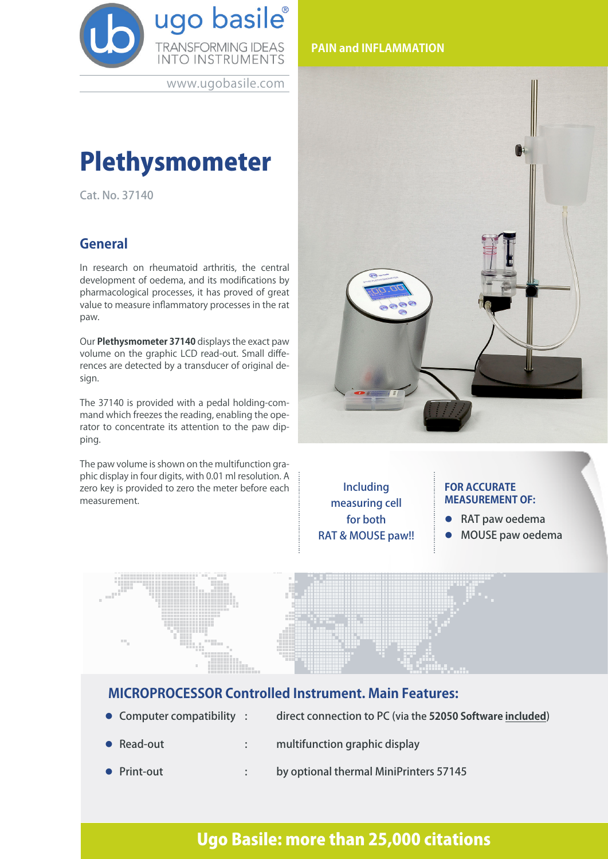

www.ugobasile.com

# Plethysmometer

Cat. No. 37140

### **General**

In research on rheumatoid arthritis, the central development of oedema, and its modifications by pharmacological processes, it has proved of great value to measure inflammatory processes in the rat paw.

Our **Plethysmometer 37140** displays the exact paw volume on the graphic LCD read-out. Small differences are detected by a transducer of original design.

The 37140 is provided with a pedal holding-command which freezes the reading, enabling the operator to concentrate its attention to the paw dipping.

The paw volume is shown on the multifunction graphic display in four digits, with 0.01 ml resolution. A zero key is provided to zero the meter before each measurement.





Including measuring cell for both RAT & MOUSE paw!!

#### **FOR ACCURATE MEASUREMENT OF:**

- RAT paw oedema
- l MOUSE paw oedema



### **MICROPROCESSOR Controlled Instrument. Main Features:**

- 
- Computer compatibility : direct connection to PC (via the 52050 Software included)
- 
- Read-out : multifunction graphic display
- Print-out : by optional thermal MiniPrinters 57145

# Ugo Basile: more than 25,000 citations